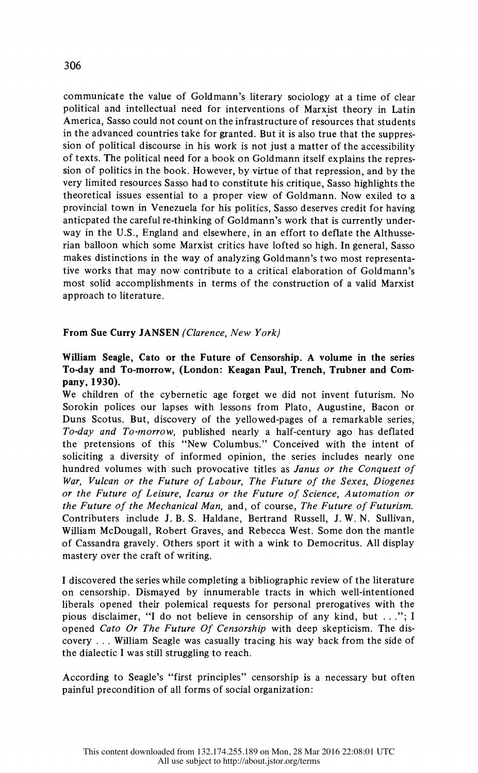communicate the value of Goldmann's literary sociology at a time of clear political and intellectual need for interventions of Marxist theory in Latin America, Sasso could not count on the infrastructure of resources that students in the advanced countries take for granted. But it is also true that the suppres sion of political discourse in his work is not just a matter of the accessibility of texts. The political need for a book on Goldmann itself explains the repres sion of politics in the book. However, by virtue of that repression, and by the very limited resources Sasso had to constitute his critique, Sasso highlights the theoretical issues essential to a proper view of Goldmann. Now exiled to a provincial town in Venezuela for his politics, Sasso deserves credit for having anticpated the careful re-thinking of Goldmann's work that is currently under way in the U.S., England and elsewhere, in an effort to deflate the Althusse rian balloon which some Marxist critics have lofted so high. In general, Sasso makes distinctions in the way of analyzing Goldmann's two most representa tive works that may now contribute to a critical elaboration of Goldmann's most solid accomplishments in terms of the construction of a valid Marxist approach to literature.

## From Sue Curry JANSEN (Clarence, New York)

## William Seagle, Cato or the Future of Censorship. A volume in the series To-day and To-morrow, (London: Keagan Paul, Trench, Trubner and Com pany, 1930).

 We children of the cybernetic age forget we did not invent futurism. No Sorokin polices our lapses with lessons from Plato, Augustine, Bacon or Duns Scotus. But, discovery of the yellowed-pages of a remarkable series, To-day and To-morrow, published nearly a half-century ago has deflated the pretensions of this "New Columbus." Conceived with the intent of soliciting a diversity of informed opinion, the series includes nearly one hundred volumes with such provocative titles as Janus or the Conquest of War, Vulcan or the Future of Labour, The Future of the Sexes, Diogenes or the Future of Leisure, Icarus or the Future of Science, Automation or the Future of the Mechanical Man, and, of course, The Future of Futurism. Contributers include J. B. S. Haldane, Bertrand Russell, J. W. N. Sullivan, William McDougall, Robert Graves, and Rebecca West. Some don the mantle of Cassandra gravely. Others sport it with a wink to Democritus. All display mastery over the craft of writing.

 I discovered the series while completing a bibliographic review of the literature on censorship. Dismayed by innumerable tracts in which well-intentioned liberals opened their polemical requests for personal prerogatives with the pious disclaimer, "I do not believe in censorship of any kind, but ..."; I opened Cato Or The Future Of Censorship with deep skepticism. The dis covery . .. .William Seagle was casually tracing his way back from the side of the dialectic I was still struggling to reach.

 According to Seagle's "first principles" censorship is a necessary but often painful precondition of all forms of social organization: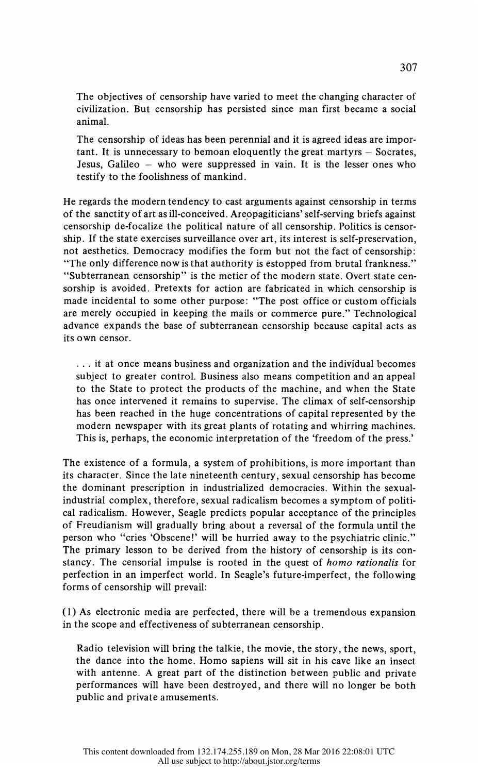The objectives of censorship have varied to meet the changing character of civilization. But censorship has persisted since man first became a social animal.

 The censorship of ideas has been perennial and it is agreed ideas are impor  $t$  tant. It is unnecessary to bemoan eloquently the great martyrs  $-$  Socrates, Jesus, Galileo  $-$  who were suppressed in vain. It is the lesser ones who testify to the foolishness of mankind.

 He regards the modern tendency to cast arguments against censorship in terms of the sanctity of art as ill-conceived. Areopagiticians' self-serving briefs against censorship de-focalize the political nature of all censorship. Politics is censor ship. If the state exercises surveillance over art, its interest is self-preservation, not aesthetics. Democracy modifies the form but not the fact of censorship: "The only difference now is that authority is estopped from brutal frankness." "Subterranean censorship" is the metier of the modern state. Overt state cen sorship is avoided. Pretexts for action are fabricated in which censorship is made incidental to some other purpose: "The post office or custom officials are merely occupied in keeping the mails or commerce pure." Technological advance expands the base of subterranean censorship because capital acts as its own censor.

 ... it at once means business and organization and the individual becomes subject to greater control. Business also means competition and an appeal to the State to protect the products of the machine, and when the State has once intervened it remains to supervise. The climax of self-censorship has been reached in the huge concentrations of capital represented by the modern newspaper with its great plants of rotating and whirring machines. This is, perhaps, the economic interpretation of the 'freedom of the press.'

 The existence of a formula, a system of prohibitions, is more important than its character. Since the late nineteenth century, sexual censorship has become the dominant prescription in industrialized democracies. Within the sexual industrial complex, therefore, sexual radicalism becomes a symptom of politi cal radicalism. However, Seagle predicts popular acceptance of the principles of Freudianism will gradually bring about a reversal of the formula until the person who "cries 'Obscene!' will be hurried away to the psychiatric clinic." The primary lesson to be derived from the history of censorship is its con stancy. The censorial impulse is rooted in the quest of homo rationalis for perfection in an imperfect world. In Seagle's future-imperfect, the following forms of censorship will prevail:

 (1) As electronic media are perfected, there will be a tremendous expansion in the scope and effectiveness of subterranean censorship.

 Radio television will bring the talkie, the movie, the story, the news, sport, the dance into the home. Homo sapiens will sit in his cave like an insect with antenne. A great part of the distinction between public and private performances will have been destroyed, and there will no longer be both public and private amusements.